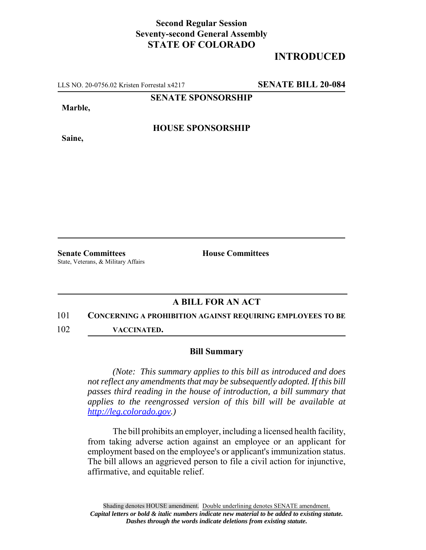## **Second Regular Session Seventy-second General Assembly STATE OF COLORADO**

# **INTRODUCED**

LLS NO. 20-0756.02 Kristen Forrestal x4217 **SENATE BILL 20-084**

**SENATE SPONSORSHIP**

**Marble,**

**HOUSE SPONSORSHIP**

**Saine,**

**Senate Committees House Committees** State, Veterans, & Military Affairs

## **A BILL FOR AN ACT**

#### 101 **CONCERNING A PROHIBITION AGAINST REQUIRING EMPLOYEES TO BE**

102 **VACCINATED.**

### **Bill Summary**

*(Note: This summary applies to this bill as introduced and does not reflect any amendments that may be subsequently adopted. If this bill passes third reading in the house of introduction, a bill summary that applies to the reengrossed version of this bill will be available at http://leg.colorado.gov.)*

The bill prohibits an employer, including a licensed health facility, from taking adverse action against an employee or an applicant for employment based on the employee's or applicant's immunization status. The bill allows an aggrieved person to file a civil action for injunctive, affirmative, and equitable relief.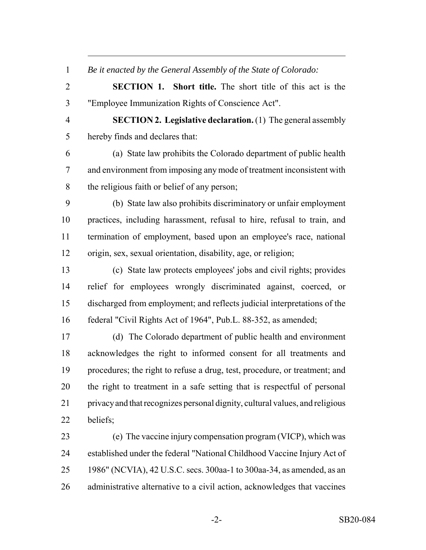*Be it enacted by the General Assembly of the State of Colorado:*

 **SECTION 1. Short title.** The short title of this act is the "Employee Immunization Rights of Conscience Act".

 **SECTION 2. Legislative declaration.** (1) The general assembly hereby finds and declares that:

 (a) State law prohibits the Colorado department of public health and environment from imposing any mode of treatment inconsistent with the religious faith or belief of any person;

 (b) State law also prohibits discriminatory or unfair employment practices, including harassment, refusal to hire, refusal to train, and termination of employment, based upon an employee's race, national origin, sex, sexual orientation, disability, age, or religion;

 (c) State law protects employees' jobs and civil rights; provides relief for employees wrongly discriminated against, coerced, or discharged from employment; and reflects judicial interpretations of the federal "Civil Rights Act of 1964", Pub.L. 88-352, as amended;

 (d) The Colorado department of public health and environment acknowledges the right to informed consent for all treatments and procedures; the right to refuse a drug, test, procedure, or treatment; and the right to treatment in a safe setting that is respectful of personal privacy and that recognizes personal dignity, cultural values, and religious beliefs;

 (e) The vaccine injury compensation program (VICP), which was established under the federal "National Childhood Vaccine Injury Act of 1986" (NCVIA), 42 U.S.C. secs. 300aa-1 to 300aa-34, as amended, as an administrative alternative to a civil action, acknowledges that vaccines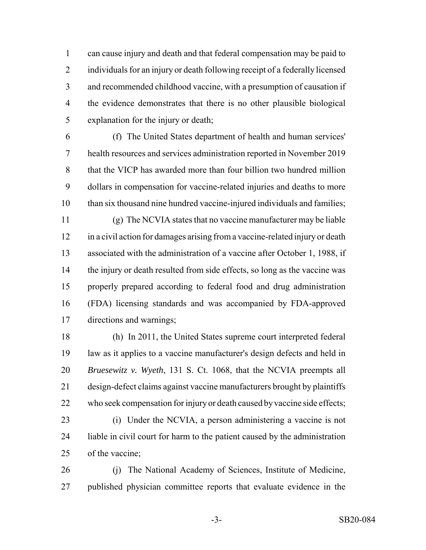can cause injury and death and that federal compensation may be paid to individuals for an injury or death following receipt of a federally licensed and recommended childhood vaccine, with a presumption of causation if the evidence demonstrates that there is no other plausible biological explanation for the injury or death;

 (f) The United States department of health and human services' health resources and services administration reported in November 2019 that the VICP has awarded more than four billion two hundred million dollars in compensation for vaccine-related injuries and deaths to more than six thousand nine hundred vaccine-injured individuals and families;

 (g) The NCVIA states that no vaccine manufacturer may be liable in a civil action for damages arising from a vaccine-related injury or death associated with the administration of a vaccine after October 1, 1988, if 14 the injury or death resulted from side effects, so long as the vaccine was properly prepared according to federal food and drug administration (FDA) licensing standards and was accompanied by FDA-approved directions and warnings;

 (h) In 2011, the United States supreme court interpreted federal law as it applies to a vaccine manufacturer's design defects and held in *Bruesewitz v. Wyeth*, 131 S. Ct. 1068, that the NCVIA preempts all design-defect claims against vaccine manufacturers brought by plaintiffs who seek compensation for injury or death caused by vaccine side effects;

 (i) Under the NCVIA, a person administering a vaccine is not liable in civil court for harm to the patient caused by the administration of the vaccine;

 (j) The National Academy of Sciences, Institute of Medicine, published physician committee reports that evaluate evidence in the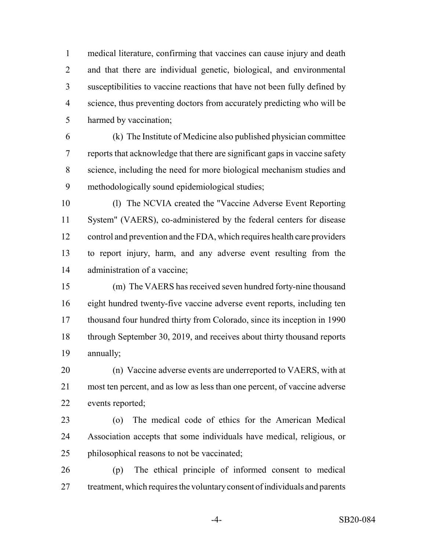medical literature, confirming that vaccines can cause injury and death and that there are individual genetic, biological, and environmental susceptibilities to vaccine reactions that have not been fully defined by science, thus preventing doctors from accurately predicting who will be harmed by vaccination;

 (k) The Institute of Medicine also published physician committee reports that acknowledge that there are significant gaps in vaccine safety science, including the need for more biological mechanism studies and methodologically sound epidemiological studies;

 (l) The NCVIA created the "Vaccine Adverse Event Reporting System" (VAERS), co-administered by the federal centers for disease control and prevention and the FDA, which requires health care providers to report injury, harm, and any adverse event resulting from the administration of a vaccine;

 (m) The VAERS has received seven hundred forty-nine thousand eight hundred twenty-five vaccine adverse event reports, including ten thousand four hundred thirty from Colorado, since its inception in 1990 through September 30, 2019, and receives about thirty thousand reports annually;

 (n) Vaccine adverse events are underreported to VAERS, with at most ten percent, and as low as less than one percent, of vaccine adverse events reported;

 (o) The medical code of ethics for the American Medical Association accepts that some individuals have medical, religious, or philosophical reasons to not be vaccinated;

 (p) The ethical principle of informed consent to medical treatment, which requires the voluntary consent of individuals and parents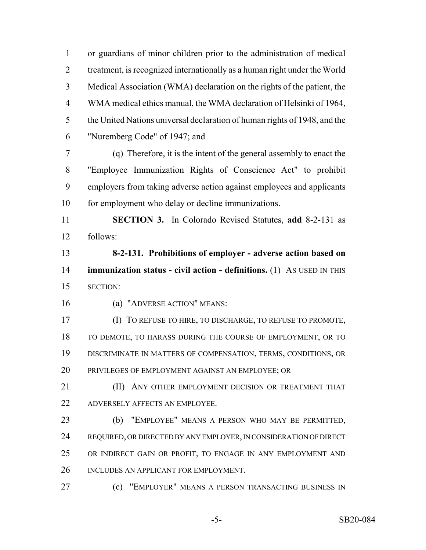or guardians of minor children prior to the administration of medical treatment, is recognized internationally as a human right under the World Medical Association (WMA) declaration on the rights of the patient, the WMA medical ethics manual, the WMA declaration of Helsinki of 1964, the United Nations universal declaration of human rights of 1948, and the "Nuremberg Code" of 1947; and

 (q) Therefore, it is the intent of the general assembly to enact the "Employee Immunization Rights of Conscience Act" to prohibit employers from taking adverse action against employees and applicants 10 for employment who delay or decline immunizations.

 **SECTION 3.** In Colorado Revised Statutes, **add** 8-2-131 as follows:

 **8-2-131. Prohibitions of employer - adverse action based on immunization status - civil action - definitions.** (1) AS USED IN THIS SECTION:

(a) "ADVERSE ACTION" MEANS:

 (I) TO REFUSE TO HIRE, TO DISCHARGE, TO REFUSE TO PROMOTE, TO DEMOTE, TO HARASS DURING THE COURSE OF EMPLOYMENT, OR TO DISCRIMINATE IN MATTERS OF COMPENSATION, TERMS, CONDITIONS, OR PRIVILEGES OF EMPLOYMENT AGAINST AN EMPLOYEE; OR

**(II) ANY OTHER EMPLOYMENT DECISION OR TREATMENT THAT** ADVERSELY AFFECTS AN EMPLOYEE.

 (b) "EMPLOYEE" MEANS A PERSON WHO MAY BE PERMITTED, REQUIRED, OR DIRECTED BY ANY EMPLOYER, IN CONSIDERATION OF DIRECT OR INDIRECT GAIN OR PROFIT, TO ENGAGE IN ANY EMPLOYMENT AND INCLUDES AN APPLICANT FOR EMPLOYMENT.

**(c)** "EMPLOYER" MEANS A PERSON TRANSACTING BUSINESS IN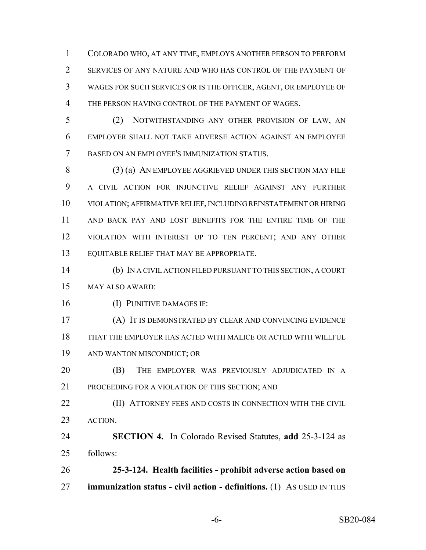COLORADO WHO, AT ANY TIME, EMPLOYS ANOTHER PERSON TO PERFORM SERVICES OF ANY NATURE AND WHO HAS CONTROL OF THE PAYMENT OF WAGES FOR SUCH SERVICES OR IS THE OFFICER, AGENT, OR EMPLOYEE OF THE PERSON HAVING CONTROL OF THE PAYMENT OF WAGES.

 (2) NOTWITHSTANDING ANY OTHER PROVISION OF LAW, AN EMPLOYER SHALL NOT TAKE ADVERSE ACTION AGAINST AN EMPLOYEE BASED ON AN EMPLOYEE'S IMMUNIZATION STATUS.

 (3) (a) AN EMPLOYEE AGGRIEVED UNDER THIS SECTION MAY FILE A CIVIL ACTION FOR INJUNCTIVE RELIEF AGAINST ANY FURTHER VIOLATION; AFFIRMATIVE RELIEF, INCLUDING REINSTATEMENT OR HIRING AND BACK PAY AND LOST BENEFITS FOR THE ENTIRE TIME OF THE VIOLATION WITH INTEREST UP TO TEN PERCENT; AND ANY OTHER EQUITABLE RELIEF THAT MAY BE APPROPRIATE.

 (b) IN A CIVIL ACTION FILED PURSUANT TO THIS SECTION, A COURT MAY ALSO AWARD:

(I) PUNITIVE DAMAGES IF:

 (A) IT IS DEMONSTRATED BY CLEAR AND CONVINCING EVIDENCE THAT THE EMPLOYER HAS ACTED WITH MALICE OR ACTED WITH WILLFUL AND WANTON MISCONDUCT; OR

 (B) THE EMPLOYER WAS PREVIOUSLY ADJUDICATED IN A PROCEEDING FOR A VIOLATION OF THIS SECTION; AND

**(II) ATTORNEY FEES AND COSTS IN CONNECTION WITH THE CIVIL** ACTION.

 **SECTION 4.** In Colorado Revised Statutes, **add** 25-3-124 as follows:

 **25-3-124. Health facilities - prohibit adverse action based on immunization status - civil action - definitions.** (1) AS USED IN THIS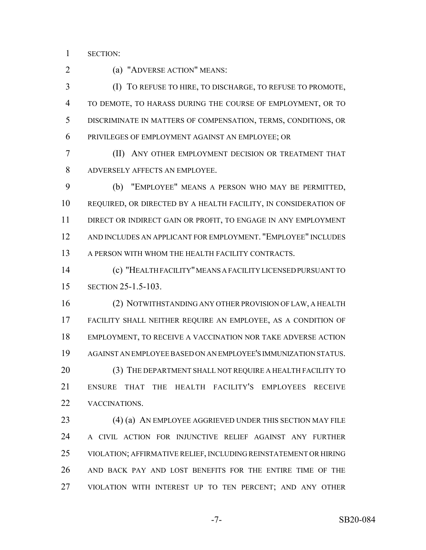SECTION:

2 (a) "ADVERSE ACTION" MEANS:

 (I) TO REFUSE TO HIRE, TO DISCHARGE, TO REFUSE TO PROMOTE, TO DEMOTE, TO HARASS DURING THE COURSE OF EMPLOYMENT, OR TO DISCRIMINATE IN MATTERS OF COMPENSATION, TERMS, CONDITIONS, OR PRIVILEGES OF EMPLOYMENT AGAINST AN EMPLOYEE; OR

 (II) ANY OTHER EMPLOYMENT DECISION OR TREATMENT THAT ADVERSELY AFFECTS AN EMPLOYEE.

 (b) "EMPLOYEE" MEANS A PERSON WHO MAY BE PERMITTED, REQUIRED, OR DIRECTED BY A HEALTH FACILITY, IN CONSIDERATION OF DIRECT OR INDIRECT GAIN OR PROFIT, TO ENGAGE IN ANY EMPLOYMENT AND INCLUDES AN APPLICANT FOR EMPLOYMENT. "EMPLOYEE" INCLUDES 13 A PERSON WITH WHOM THE HEALTH FACILITY CONTRACTS.

 (c) "HEALTH FACILITY" MEANS A FACILITY LICENSED PURSUANT TO SECTION 25-1.5-103.

 (2) NOTWITHSTANDING ANY OTHER PROVISION OF LAW, A HEALTH FACILITY SHALL NEITHER REQUIRE AN EMPLOYEE, AS A CONDITION OF EMPLOYMENT, TO RECEIVE A VACCINATION NOR TAKE ADVERSE ACTION AGAINST AN EMPLOYEE BASED ON AN EMPLOYEE'S IMMUNIZATION STATUS. 20 (3) THE DEPARTMENT SHALL NOT REQUIRE A HEALTH FACILITY TO ENSURE THAT THE HEALTH FACILITY'S EMPLOYEES RECEIVE VACCINATIONS.

23 (4) (a) AN EMPLOYEE AGGRIEVED UNDER THIS SECTION MAY FILE A CIVIL ACTION FOR INJUNCTIVE RELIEF AGAINST ANY FURTHER VIOLATION; AFFIRMATIVE RELIEF, INCLUDING REINSTATEMENT OR HIRING AND BACK PAY AND LOST BENEFITS FOR THE ENTIRE TIME OF THE VIOLATION WITH INTEREST UP TO TEN PERCENT; AND ANY OTHER